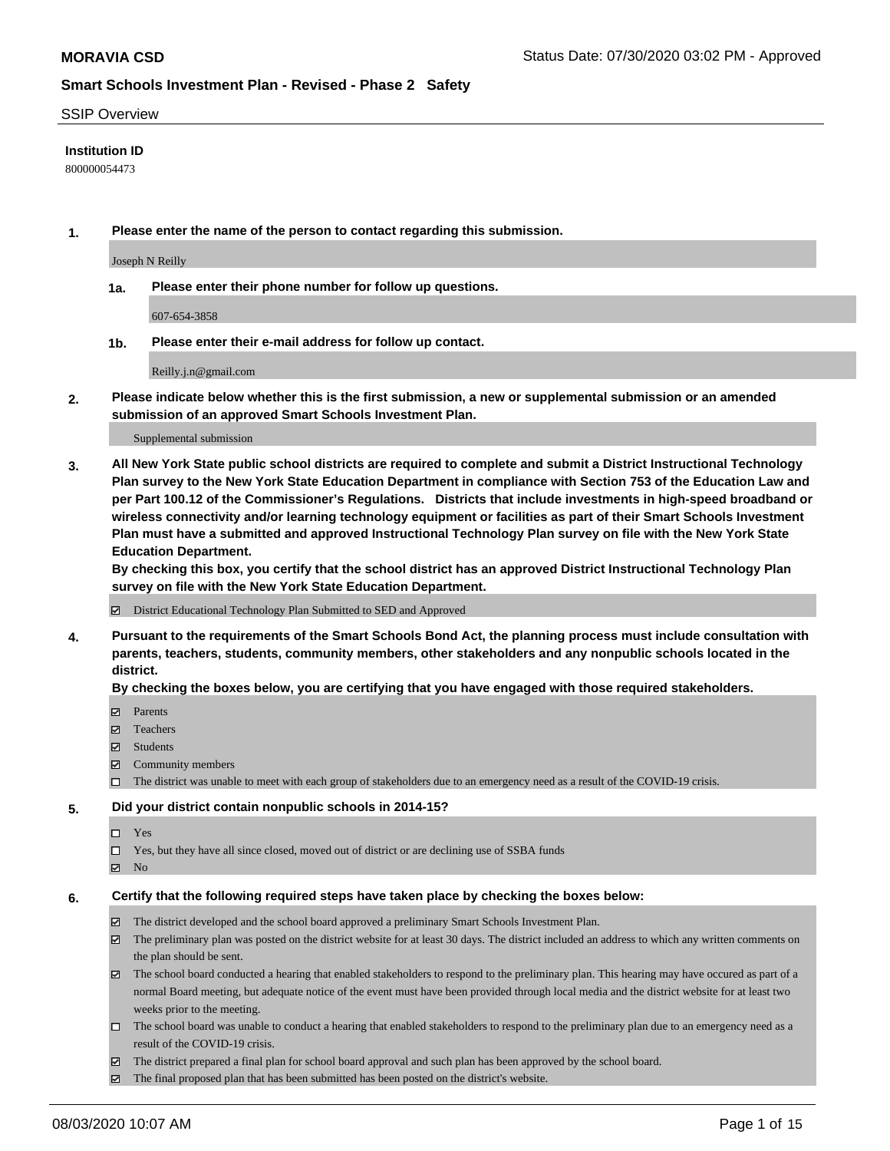#### SSIP Overview

### **Institution ID**

800000054473

**1. Please enter the name of the person to contact regarding this submission.**

Joseph N Reilly

**1a. Please enter their phone number for follow up questions.**

607-654-3858

**1b. Please enter their e-mail address for follow up contact.**

Reilly.j.n@gmail.com

**2. Please indicate below whether this is the first submission, a new or supplemental submission or an amended submission of an approved Smart Schools Investment Plan.**

#### Supplemental submission

**3. All New York State public school districts are required to complete and submit a District Instructional Technology Plan survey to the New York State Education Department in compliance with Section 753 of the Education Law and per Part 100.12 of the Commissioner's Regulations. Districts that include investments in high-speed broadband or wireless connectivity and/or learning technology equipment or facilities as part of their Smart Schools Investment Plan must have a submitted and approved Instructional Technology Plan survey on file with the New York State Education Department.** 

**By checking this box, you certify that the school district has an approved District Instructional Technology Plan survey on file with the New York State Education Department.**

District Educational Technology Plan Submitted to SED and Approved

**4. Pursuant to the requirements of the Smart Schools Bond Act, the planning process must include consultation with parents, teachers, students, community members, other stakeholders and any nonpublic schools located in the district.** 

#### **By checking the boxes below, you are certifying that you have engaged with those required stakeholders.**

- **□** Parents
- Teachers
- Students
- $\boxtimes$  Community members
- The district was unable to meet with each group of stakeholders due to an emergency need as a result of the COVID-19 crisis.

#### **5. Did your district contain nonpublic schools in 2014-15?**

- $\neg$  Yes
- Yes, but they have all since closed, moved out of district or are declining use of SSBA funds
- **Z** No

#### **6. Certify that the following required steps have taken place by checking the boxes below:**

- The district developed and the school board approved a preliminary Smart Schools Investment Plan.
- $\boxtimes$  The preliminary plan was posted on the district website for at least 30 days. The district included an address to which any written comments on the plan should be sent.
- $\boxtimes$  The school board conducted a hearing that enabled stakeholders to respond to the preliminary plan. This hearing may have occured as part of a normal Board meeting, but adequate notice of the event must have been provided through local media and the district website for at least two weeks prior to the meeting.
- The school board was unable to conduct a hearing that enabled stakeholders to respond to the preliminary plan due to an emergency need as a result of the COVID-19 crisis.
- The district prepared a final plan for school board approval and such plan has been approved by the school board.
- $\boxtimes$  The final proposed plan that has been submitted has been posted on the district's website.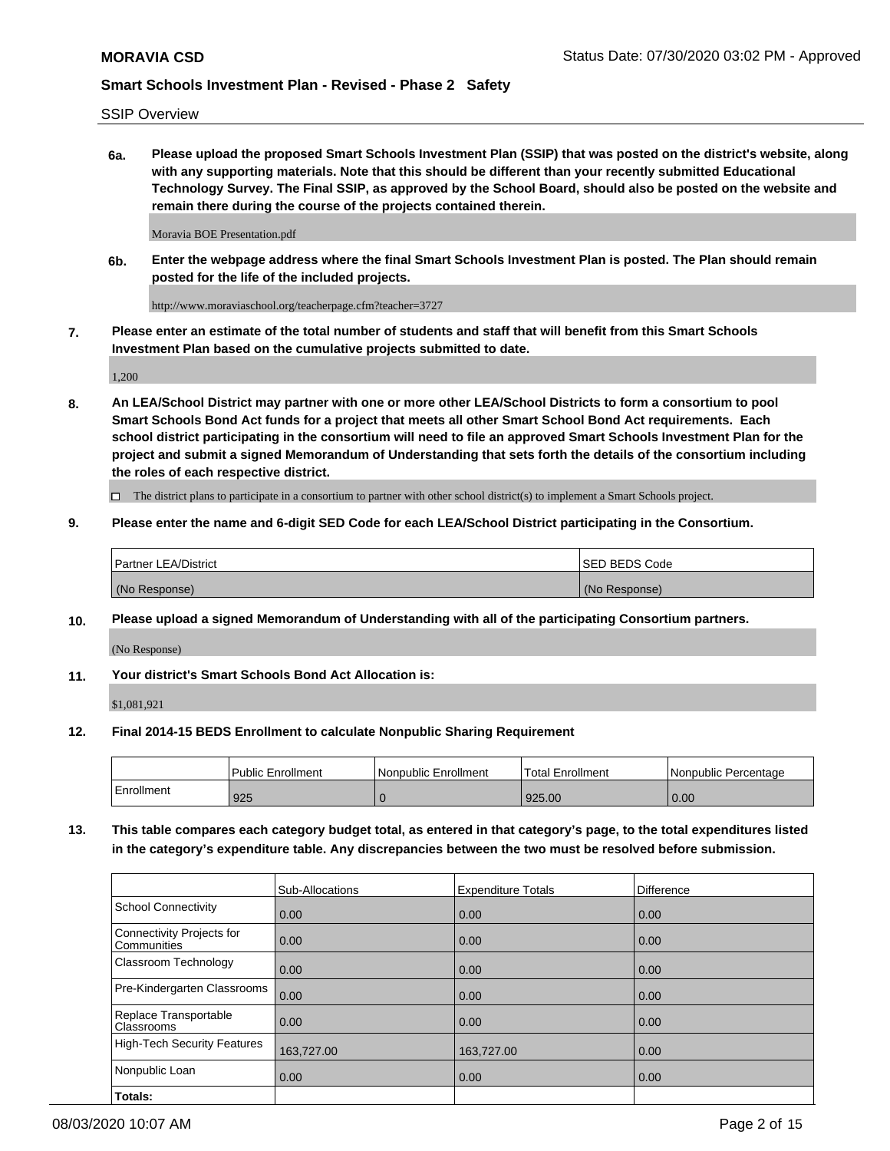SSIP Overview

**6a. Please upload the proposed Smart Schools Investment Plan (SSIP) that was posted on the district's website, along with any supporting materials. Note that this should be different than your recently submitted Educational Technology Survey. The Final SSIP, as approved by the School Board, should also be posted on the website and remain there during the course of the projects contained therein.**

Moravia BOE Presentation.pdf

**6b. Enter the webpage address where the final Smart Schools Investment Plan is posted. The Plan should remain posted for the life of the included projects.**

http://www.moraviaschool.org/teacherpage.cfm?teacher=3727

**7. Please enter an estimate of the total number of students and staff that will benefit from this Smart Schools Investment Plan based on the cumulative projects submitted to date.**

1,200

**8. An LEA/School District may partner with one or more other LEA/School Districts to form a consortium to pool Smart Schools Bond Act funds for a project that meets all other Smart School Bond Act requirements. Each school district participating in the consortium will need to file an approved Smart Schools Investment Plan for the project and submit a signed Memorandum of Understanding that sets forth the details of the consortium including the roles of each respective district.**

 $\Box$  The district plans to participate in a consortium to partner with other school district(s) to implement a Smart Schools project.

### **9. Please enter the name and 6-digit SED Code for each LEA/School District participating in the Consortium.**

| <b>Partner LEA/District</b> | <b>ISED BEDS Code</b> |
|-----------------------------|-----------------------|
| (No Response)               | (No Response)         |

### **10. Please upload a signed Memorandum of Understanding with all of the participating Consortium partners.**

(No Response)

### **11. Your district's Smart Schools Bond Act Allocation is:**

\$1,081,921

### **12. Final 2014-15 BEDS Enrollment to calculate Nonpublic Sharing Requirement**

|            | <b>Public Enrollment</b> | Nonpublic Enrollment | <b>Total Enrollment</b> | l Nonpublic Percentage |
|------------|--------------------------|----------------------|-------------------------|------------------------|
| Enrollment | 925                      |                      | 925.00                  | 0.00                   |

**13. This table compares each category budget total, as entered in that category's page, to the total expenditures listed in the category's expenditure table. Any discrepancies between the two must be resolved before submission.**

|                                          | Sub-Allocations | <b>Expenditure Totals</b> | Difference |
|------------------------------------------|-----------------|---------------------------|------------|
| <b>School Connectivity</b>               | 0.00            | 0.00                      | 0.00       |
| Connectivity Projects for<br>Communities | 0.00            | 0.00                      | 0.00       |
| Classroom Technology                     | 0.00            | 0.00                      | 0.00       |
| Pre-Kindergarten Classrooms              | 0.00            | 0.00                      | 0.00       |
| Replace Transportable<br>Classrooms      | 0.00            | 0.00                      | 0.00       |
| <b>High-Tech Security Features</b>       | 163,727.00      | 163,727.00                | 0.00       |
| Nonpublic Loan                           | 0.00            | 0.00                      | 0.00       |
| Totals:                                  |                 |                           |            |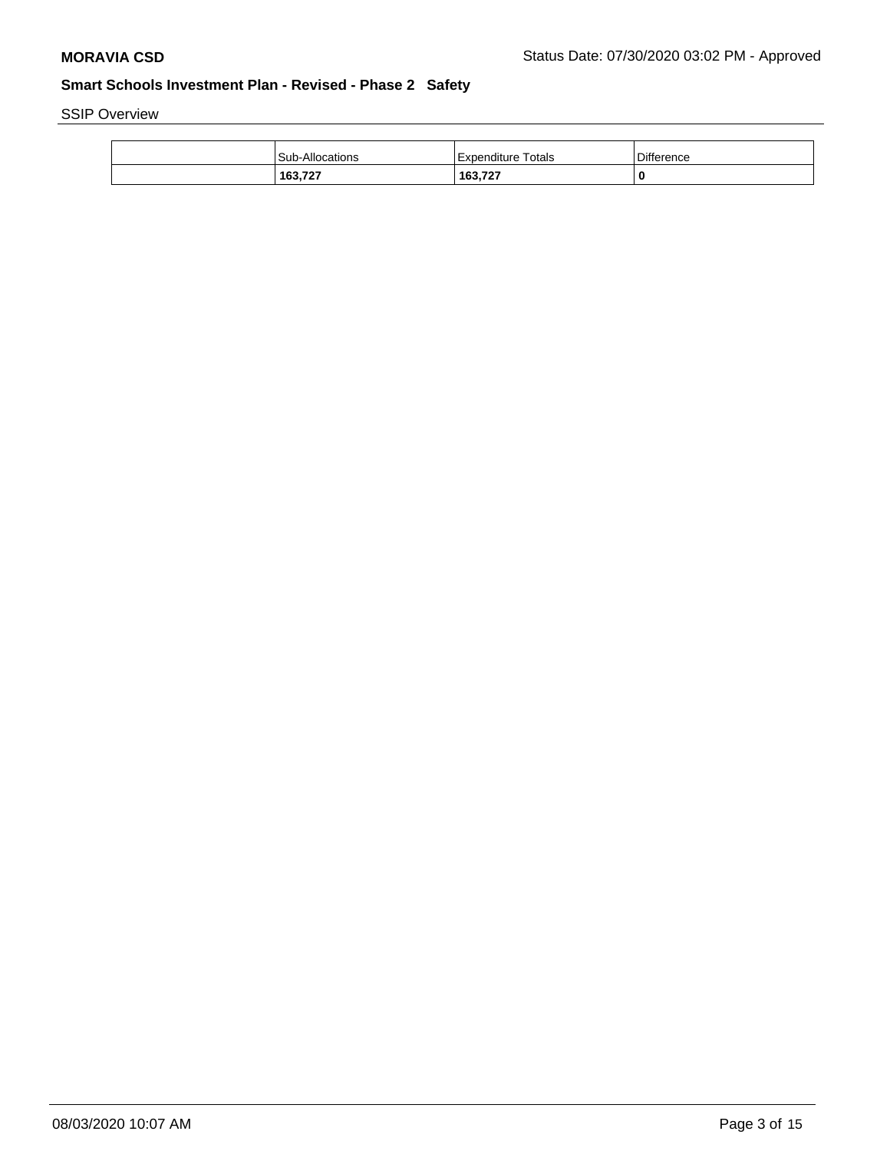SSIP Overview

| <b>Sub-Allocations</b> | Expenditure Totals | Difference |
|------------------------|--------------------|------------|
| 163,727                | 163,727            | 0          |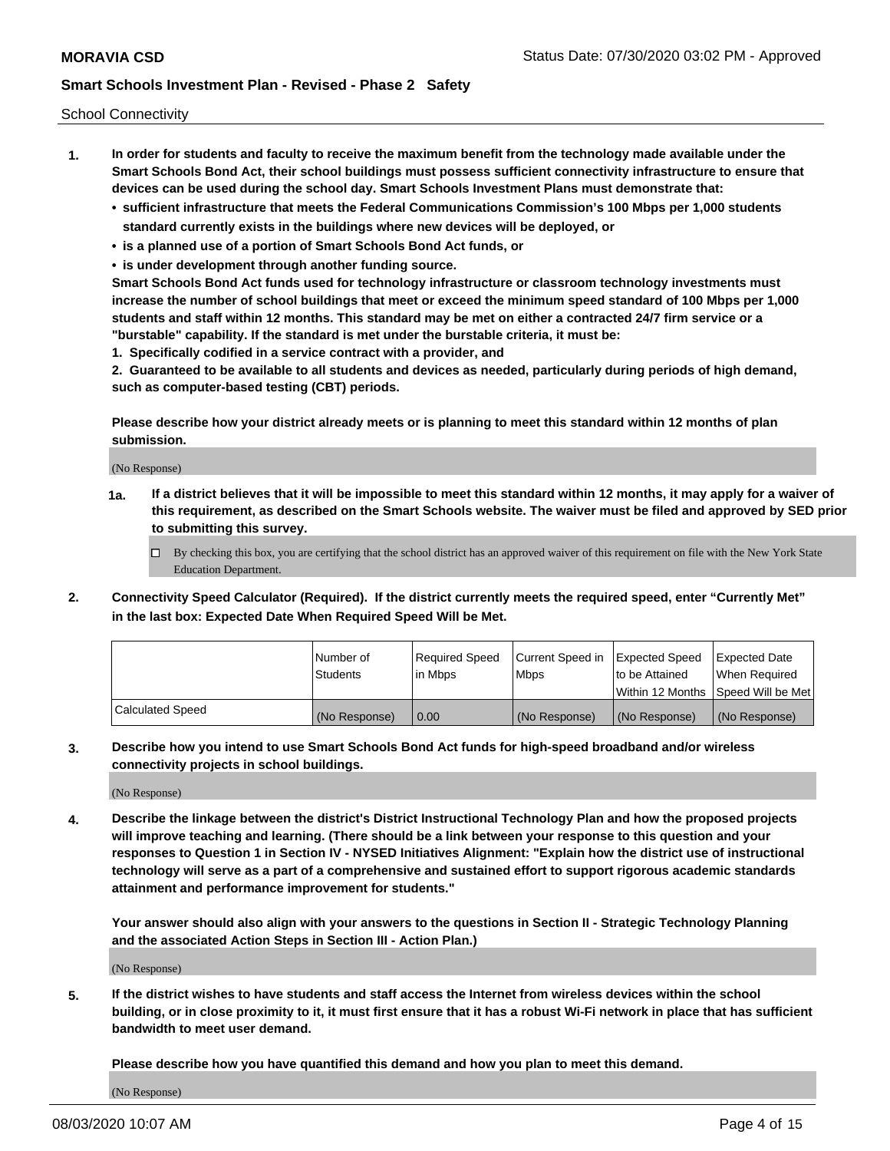School Connectivity

- **1. In order for students and faculty to receive the maximum benefit from the technology made available under the Smart Schools Bond Act, their school buildings must possess sufficient connectivity infrastructure to ensure that devices can be used during the school day. Smart Schools Investment Plans must demonstrate that:**
	- **• sufficient infrastructure that meets the Federal Communications Commission's 100 Mbps per 1,000 students standard currently exists in the buildings where new devices will be deployed, or**
	- **• is a planned use of a portion of Smart Schools Bond Act funds, or**
	- **• is under development through another funding source.**

**Smart Schools Bond Act funds used for technology infrastructure or classroom technology investments must increase the number of school buildings that meet or exceed the minimum speed standard of 100 Mbps per 1,000 students and staff within 12 months. This standard may be met on either a contracted 24/7 firm service or a "burstable" capability. If the standard is met under the burstable criteria, it must be:**

**1. Specifically codified in a service contract with a provider, and**

**2. Guaranteed to be available to all students and devices as needed, particularly during periods of high demand, such as computer-based testing (CBT) periods.**

**Please describe how your district already meets or is planning to meet this standard within 12 months of plan submission.**

(No Response)

**1a. If a district believes that it will be impossible to meet this standard within 12 months, it may apply for a waiver of this requirement, as described on the Smart Schools website. The waiver must be filed and approved by SED prior to submitting this survey.**

 $\Box$  By checking this box, you are certifying that the school district has an approved waiver of this requirement on file with the New York State Education Department.

**2. Connectivity Speed Calculator (Required). If the district currently meets the required speed, enter "Currently Met" in the last box: Expected Date When Required Speed Will be Met.**

|                  | l Number of     | Required Speed | Current Speed in | Expected Speed  | Expected Date                           |
|------------------|-----------------|----------------|------------------|-----------------|-----------------------------------------|
|                  | <b>Students</b> | In Mbps        | l Mbps           | to be Attained  | When Required                           |
|                  |                 |                |                  |                 | l Within 12 Months ISpeed Will be Met l |
| Calculated Speed | (No Response)   | 0.00           | (No Response)    | l (No Response) | l (No Response)                         |

**3. Describe how you intend to use Smart Schools Bond Act funds for high-speed broadband and/or wireless connectivity projects in school buildings.**

(No Response)

**4. Describe the linkage between the district's District Instructional Technology Plan and how the proposed projects will improve teaching and learning. (There should be a link between your response to this question and your responses to Question 1 in Section IV - NYSED Initiatives Alignment: "Explain how the district use of instructional technology will serve as a part of a comprehensive and sustained effort to support rigorous academic standards attainment and performance improvement for students."** 

**Your answer should also align with your answers to the questions in Section II - Strategic Technology Planning and the associated Action Steps in Section III - Action Plan.)**

(No Response)

**5. If the district wishes to have students and staff access the Internet from wireless devices within the school building, or in close proximity to it, it must first ensure that it has a robust Wi-Fi network in place that has sufficient bandwidth to meet user demand.**

**Please describe how you have quantified this demand and how you plan to meet this demand.**

(No Response)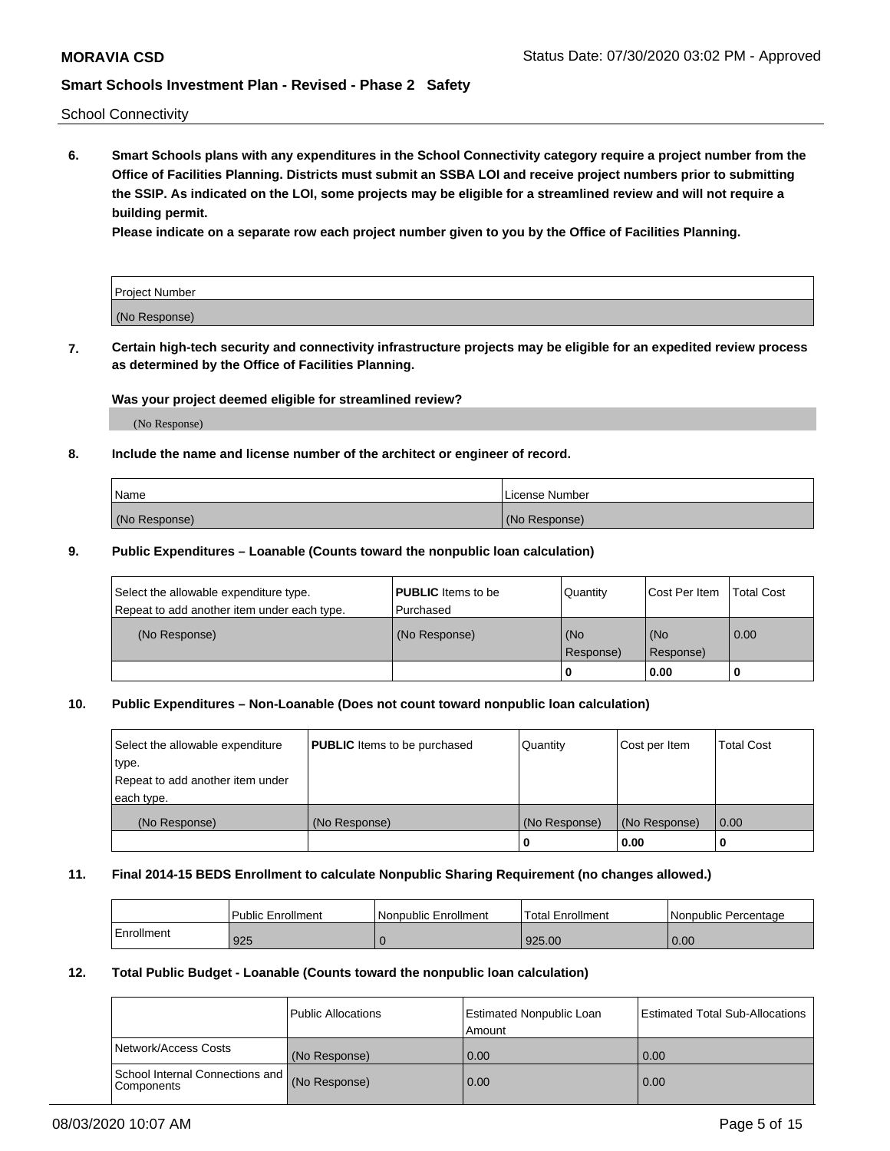School Connectivity

**6. Smart Schools plans with any expenditures in the School Connectivity category require a project number from the Office of Facilities Planning. Districts must submit an SSBA LOI and receive project numbers prior to submitting the SSIP. As indicated on the LOI, some projects may be eligible for a streamlined review and will not require a building permit.**

**Please indicate on a separate row each project number given to you by the Office of Facilities Planning.**

| Project Number |  |
|----------------|--|
| (No Response)  |  |

**7. Certain high-tech security and connectivity infrastructure projects may be eligible for an expedited review process as determined by the Office of Facilities Planning.**

### **Was your project deemed eligible for streamlined review?**

(No Response)

### **8. Include the name and license number of the architect or engineer of record.**

| Name          | License Number |
|---------------|----------------|
| (No Response) | (No Response)  |

### **9. Public Expenditures – Loanable (Counts toward the nonpublic loan calculation)**

| Select the allowable expenditure type.<br>Repeat to add another item under each type. | <b>PUBLIC</b> Items to be<br>l Purchased | Quantity           | Cost Per Item    | <b>Total Cost</b> |
|---------------------------------------------------------------------------------------|------------------------------------------|--------------------|------------------|-------------------|
| (No Response)                                                                         | (No Response)                            | l (No<br>Response) | (No<br>Response) | $\overline{0.00}$ |
|                                                                                       |                                          | O                  | 0.00             |                   |

# **10. Public Expenditures – Non-Loanable (Does not count toward nonpublic loan calculation)**

| Select the allowable expenditure<br>type.<br>Repeat to add another item under<br>each type. | <b>PUBLIC</b> Items to be purchased | Quantity      | Cost per Item | <b>Total Cost</b> |
|---------------------------------------------------------------------------------------------|-------------------------------------|---------------|---------------|-------------------|
| (No Response)                                                                               | (No Response)                       | (No Response) | (No Response) | 0.00              |
|                                                                                             |                                     |               | 0.00          |                   |

#### **11. Final 2014-15 BEDS Enrollment to calculate Nonpublic Sharing Requirement (no changes allowed.)**

|            | l Public Enrollment | Nonpublic Enrollment | Total Enrollment | l Nonpublic Percentage |
|------------|---------------------|----------------------|------------------|------------------------|
| Enrollment | 925                 |                      | 925.00           | 0.00                   |

#### **12. Total Public Budget - Loanable (Counts toward the nonpublic loan calculation)**

|                                                      | Public Allocations | <b>Estimated Nonpublic Loan</b><br>Amount | Estimated Total Sub-Allocations |
|------------------------------------------------------|--------------------|-------------------------------------------|---------------------------------|
| Network/Access Costs                                 | (No Response)      | 0.00                                      | 0.00                            |
| School Internal Connections and<br><b>Components</b> | (No Response)      | 0.00                                      | 0.00                            |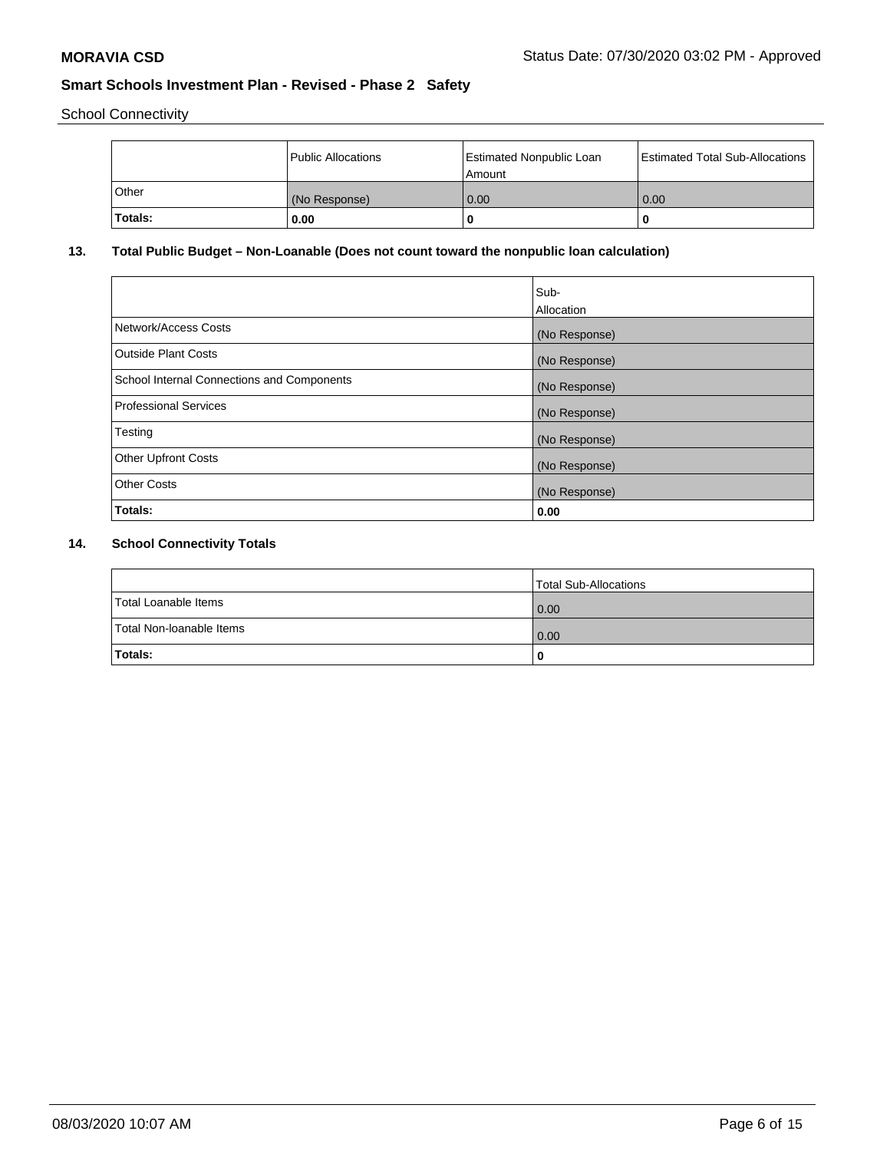School Connectivity

|         | Public Allocations | <b>Estimated Nonpublic Loan</b><br>Amount | <b>Estimated Total Sub-Allocations</b> |
|---------|--------------------|-------------------------------------------|----------------------------------------|
| l Other | (No Response)      | 0.00                                      | 0.00                                   |
| Totals: | 0.00               | 0                                         |                                        |

# **13. Total Public Budget – Non-Loanable (Does not count toward the nonpublic loan calculation)**

| Sub-<br>Allocation |
|--------------------|
| (No Response)      |
| (No Response)      |
| (No Response)      |
| (No Response)      |
| (No Response)      |
| (No Response)      |
| (No Response)      |
| 0.00               |
|                    |

# **14. School Connectivity Totals**

|                          | Total Sub-Allocations |
|--------------------------|-----------------------|
| Total Loanable Items     | 0.00                  |
| Total Non-Ioanable Items | 0.00                  |
| Totals:                  | 0                     |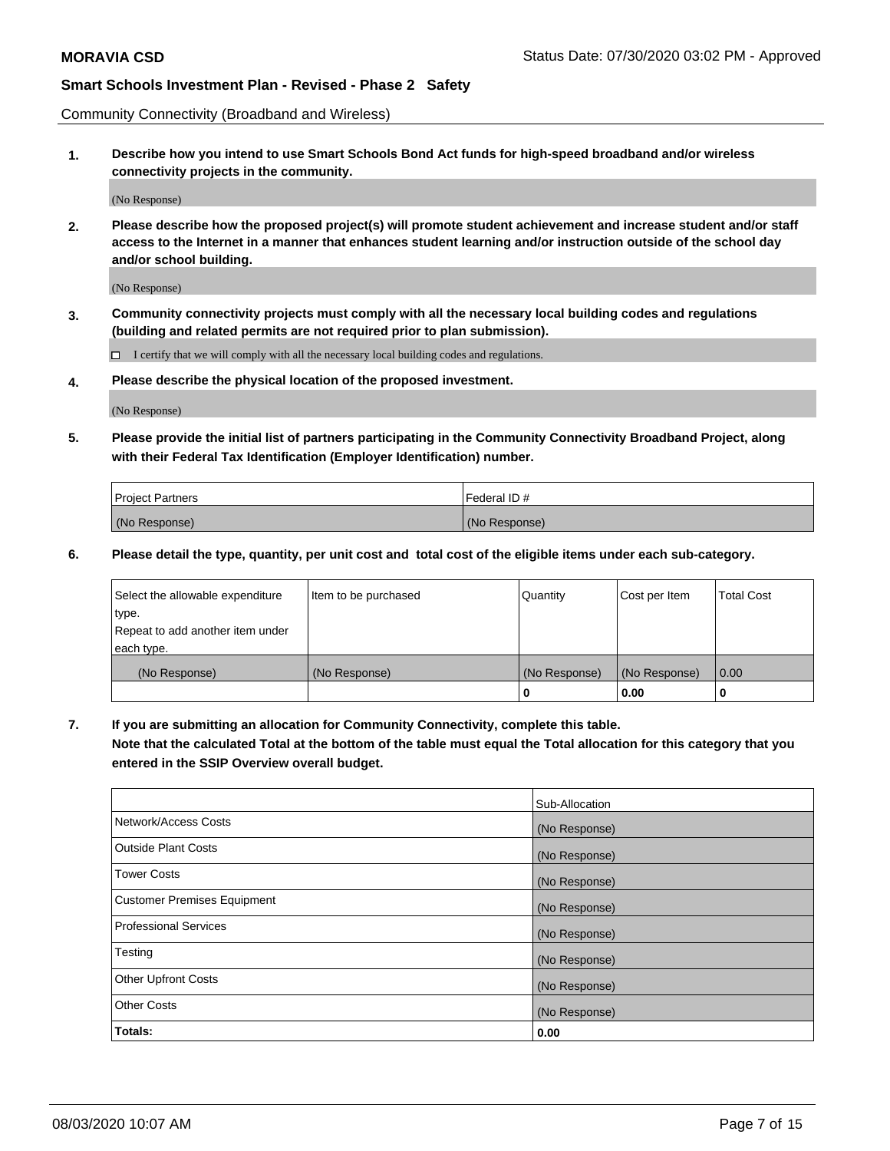Community Connectivity (Broadband and Wireless)

**1. Describe how you intend to use Smart Schools Bond Act funds for high-speed broadband and/or wireless connectivity projects in the community.**

(No Response)

**2. Please describe how the proposed project(s) will promote student achievement and increase student and/or staff access to the Internet in a manner that enhances student learning and/or instruction outside of the school day and/or school building.**

(No Response)

**3. Community connectivity projects must comply with all the necessary local building codes and regulations (building and related permits are not required prior to plan submission).**

 $\Box$  I certify that we will comply with all the necessary local building codes and regulations.

**4. Please describe the physical location of the proposed investment.**

(No Response)

**5. Please provide the initial list of partners participating in the Community Connectivity Broadband Project, along with their Federal Tax Identification (Employer Identification) number.**

| <b>Project Partners</b> | l Federal ID # |
|-------------------------|----------------|
| (No Response)           | (No Response)  |

**6. Please detail the type, quantity, per unit cost and total cost of the eligible items under each sub-category.**

| Select the allowable expenditure | Item to be purchased | Quantity      | Cost per Item | <b>Total Cost</b> |
|----------------------------------|----------------------|---------------|---------------|-------------------|
| type.                            |                      |               |               |                   |
| Repeat to add another item under |                      |               |               |                   |
| each type.                       |                      |               |               |                   |
| (No Response)                    | (No Response)        | (No Response) | (No Response) | 0.00              |
|                                  |                      | U             | 0.00          | -0                |

**7. If you are submitting an allocation for Community Connectivity, complete this table.**

**Note that the calculated Total at the bottom of the table must equal the Total allocation for this category that you entered in the SSIP Overview overall budget.**

|                                    | Sub-Allocation |
|------------------------------------|----------------|
| Network/Access Costs               | (No Response)  |
| Outside Plant Costs                | (No Response)  |
| <b>Tower Costs</b>                 | (No Response)  |
| <b>Customer Premises Equipment</b> | (No Response)  |
| <b>Professional Services</b>       | (No Response)  |
| Testing                            | (No Response)  |
| <b>Other Upfront Costs</b>         | (No Response)  |
| <b>Other Costs</b>                 | (No Response)  |
| Totals:                            | 0.00           |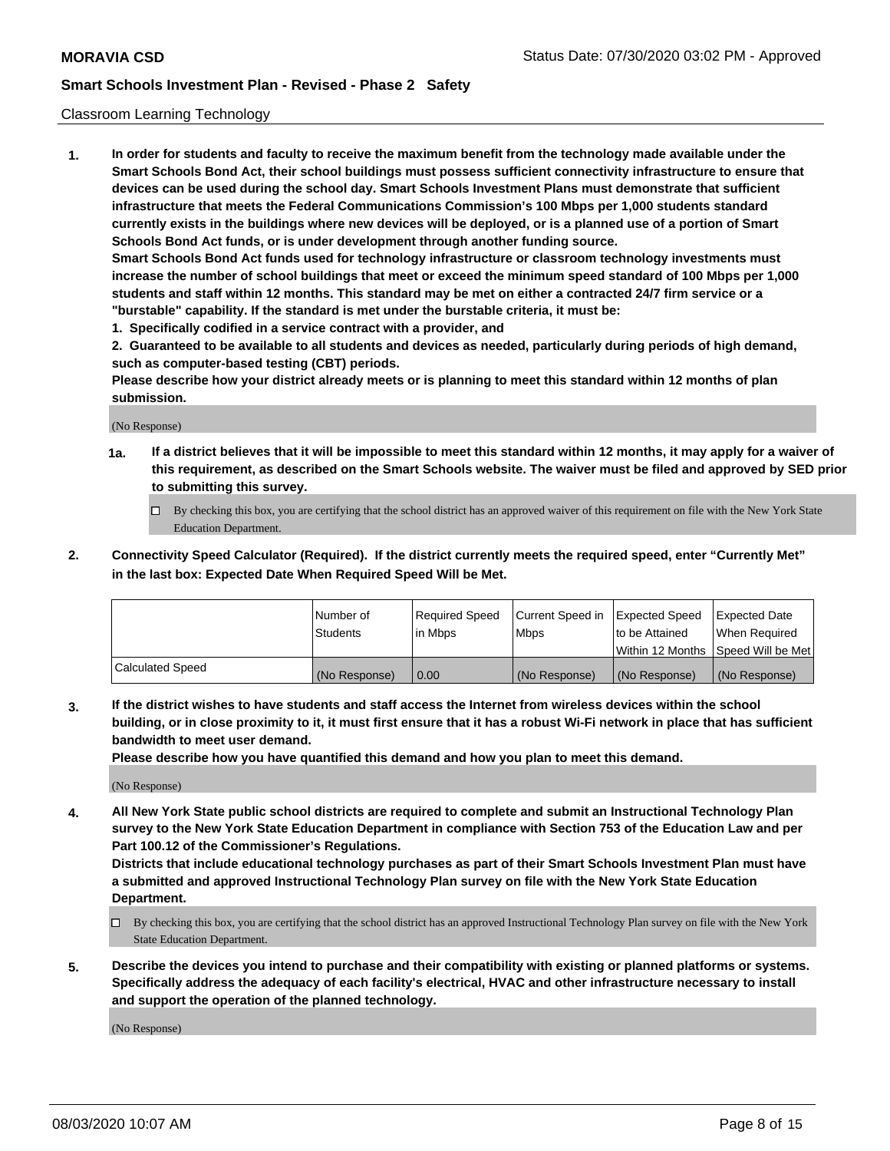### Classroom Learning Technology

**1. In order for students and faculty to receive the maximum benefit from the technology made available under the Smart Schools Bond Act, their school buildings must possess sufficient connectivity infrastructure to ensure that devices can be used during the school day. Smart Schools Investment Plans must demonstrate that sufficient infrastructure that meets the Federal Communications Commission's 100 Mbps per 1,000 students standard currently exists in the buildings where new devices will be deployed, or is a planned use of a portion of Smart Schools Bond Act funds, or is under development through another funding source. Smart Schools Bond Act funds used for technology infrastructure or classroom technology investments must increase the number of school buildings that meet or exceed the minimum speed standard of 100 Mbps per 1,000 students and staff within 12 months. This standard may be met on either a contracted 24/7 firm service or a**

**"burstable" capability. If the standard is met under the burstable criteria, it must be:**

**1. Specifically codified in a service contract with a provider, and**

**2. Guaranteed to be available to all students and devices as needed, particularly during periods of high demand, such as computer-based testing (CBT) periods.**

**Please describe how your district already meets or is planning to meet this standard within 12 months of plan submission.**

(No Response)

- **1a. If a district believes that it will be impossible to meet this standard within 12 months, it may apply for a waiver of this requirement, as described on the Smart Schools website. The waiver must be filed and approved by SED prior to submitting this survey.**
	- By checking this box, you are certifying that the school district has an approved waiver of this requirement on file with the New York State Education Department.
- **2. Connectivity Speed Calculator (Required). If the district currently meets the required speed, enter "Currently Met" in the last box: Expected Date When Required Speed Will be Met.**

|                  | l Number of     | Required Speed | Current Speed in | <b>Expected Speed</b> | <b>Expected Date</b>                |
|------------------|-----------------|----------------|------------------|-----------------------|-------------------------------------|
|                  | <b>Students</b> | l in Mbps      | l Mbps           | to be Attained        | When Required                       |
|                  |                 |                |                  |                       | Within 12 Months  Speed Will be Met |
| Calculated Speed | (No Response)   | 0.00           | (No Response)    | l (No Response)       | (No Response)                       |

**3. If the district wishes to have students and staff access the Internet from wireless devices within the school building, or in close proximity to it, it must first ensure that it has a robust Wi-Fi network in place that has sufficient bandwidth to meet user demand.**

**Please describe how you have quantified this demand and how you plan to meet this demand.**

(No Response)

**4. All New York State public school districts are required to complete and submit an Instructional Technology Plan survey to the New York State Education Department in compliance with Section 753 of the Education Law and per Part 100.12 of the Commissioner's Regulations.**

**Districts that include educational technology purchases as part of their Smart Schools Investment Plan must have a submitted and approved Instructional Technology Plan survey on file with the New York State Education Department.**

- By checking this box, you are certifying that the school district has an approved Instructional Technology Plan survey on file with the New York State Education Department.
- **5. Describe the devices you intend to purchase and their compatibility with existing or planned platforms or systems. Specifically address the adequacy of each facility's electrical, HVAC and other infrastructure necessary to install and support the operation of the planned technology.**

(No Response)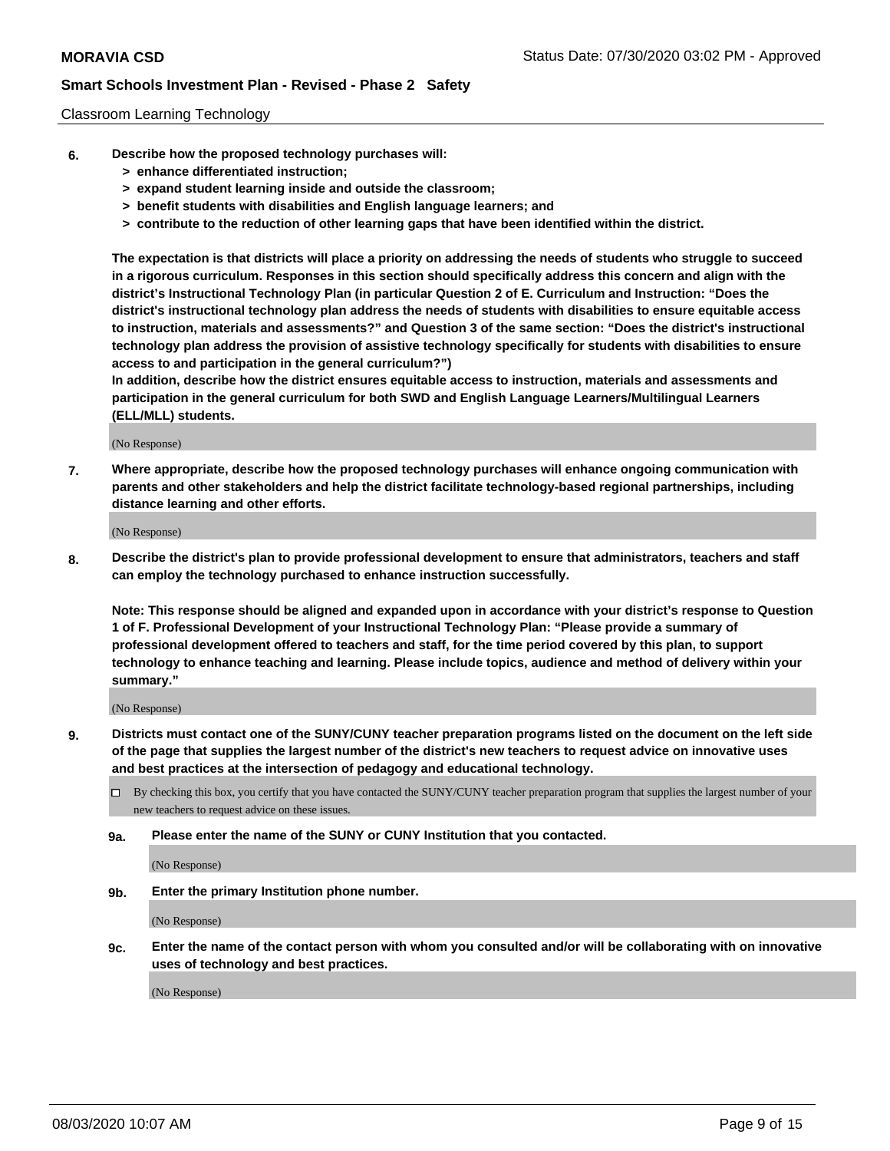### Classroom Learning Technology

- **6. Describe how the proposed technology purchases will:**
	- **> enhance differentiated instruction;**
	- **> expand student learning inside and outside the classroom;**
	- **> benefit students with disabilities and English language learners; and**
	- **> contribute to the reduction of other learning gaps that have been identified within the district.**

**The expectation is that districts will place a priority on addressing the needs of students who struggle to succeed in a rigorous curriculum. Responses in this section should specifically address this concern and align with the district's Instructional Technology Plan (in particular Question 2 of E. Curriculum and Instruction: "Does the district's instructional technology plan address the needs of students with disabilities to ensure equitable access to instruction, materials and assessments?" and Question 3 of the same section: "Does the district's instructional technology plan address the provision of assistive technology specifically for students with disabilities to ensure access to and participation in the general curriculum?")**

**In addition, describe how the district ensures equitable access to instruction, materials and assessments and participation in the general curriculum for both SWD and English Language Learners/Multilingual Learners (ELL/MLL) students.**

(No Response)

**7. Where appropriate, describe how the proposed technology purchases will enhance ongoing communication with parents and other stakeholders and help the district facilitate technology-based regional partnerships, including distance learning and other efforts.**

(No Response)

**8. Describe the district's plan to provide professional development to ensure that administrators, teachers and staff can employ the technology purchased to enhance instruction successfully.**

**Note: This response should be aligned and expanded upon in accordance with your district's response to Question 1 of F. Professional Development of your Instructional Technology Plan: "Please provide a summary of professional development offered to teachers and staff, for the time period covered by this plan, to support technology to enhance teaching and learning. Please include topics, audience and method of delivery within your summary."**

(No Response)

- **9. Districts must contact one of the SUNY/CUNY teacher preparation programs listed on the document on the left side of the page that supplies the largest number of the district's new teachers to request advice on innovative uses and best practices at the intersection of pedagogy and educational technology.**
	- By checking this box, you certify that you have contacted the SUNY/CUNY teacher preparation program that supplies the largest number of your new teachers to request advice on these issues.
	- **9a. Please enter the name of the SUNY or CUNY Institution that you contacted.**

(No Response)

**9b. Enter the primary Institution phone number.**

(No Response)

**9c. Enter the name of the contact person with whom you consulted and/or will be collaborating with on innovative uses of technology and best practices.**

(No Response)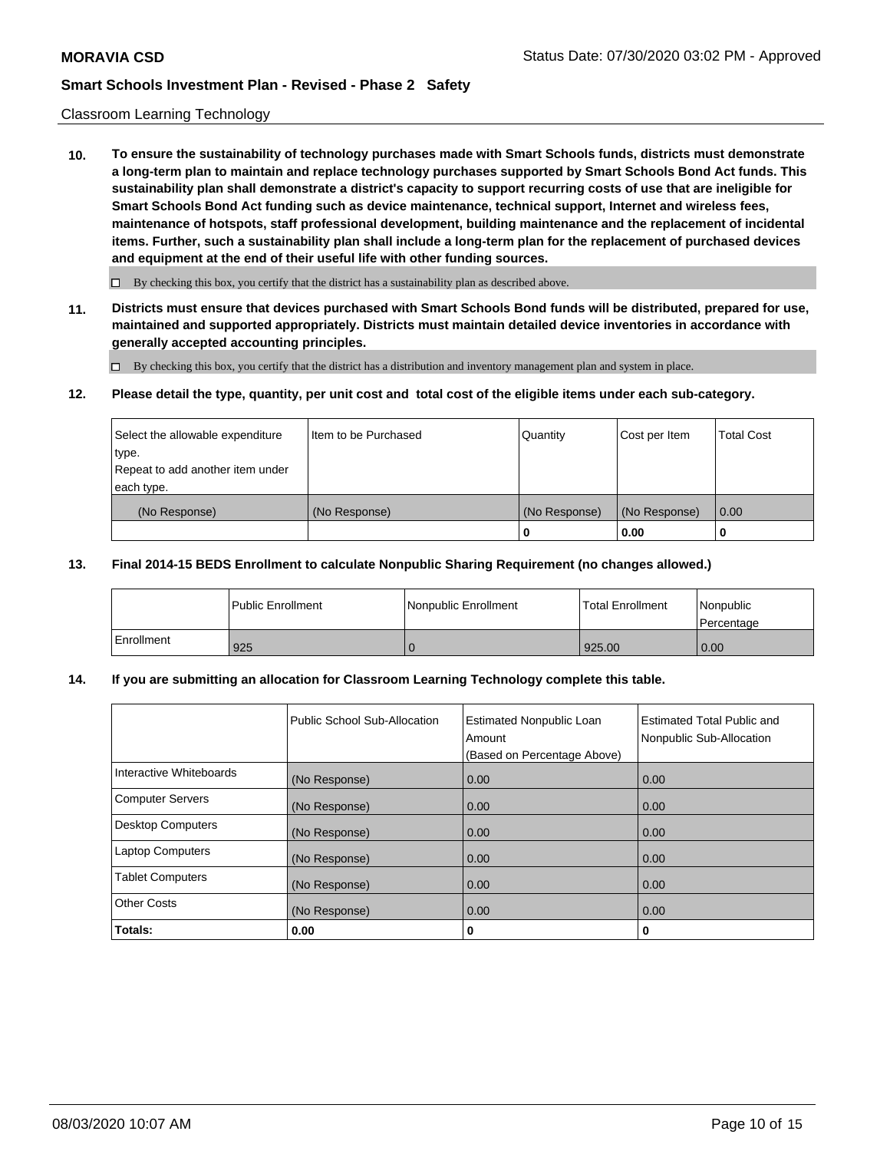### Classroom Learning Technology

**10. To ensure the sustainability of technology purchases made with Smart Schools funds, districts must demonstrate a long-term plan to maintain and replace technology purchases supported by Smart Schools Bond Act funds. This sustainability plan shall demonstrate a district's capacity to support recurring costs of use that are ineligible for Smart Schools Bond Act funding such as device maintenance, technical support, Internet and wireless fees, maintenance of hotspots, staff professional development, building maintenance and the replacement of incidental items. Further, such a sustainability plan shall include a long-term plan for the replacement of purchased devices and equipment at the end of their useful life with other funding sources.**

 $\Box$  By checking this box, you certify that the district has a sustainability plan as described above.

**11. Districts must ensure that devices purchased with Smart Schools Bond funds will be distributed, prepared for use, maintained and supported appropriately. Districts must maintain detailed device inventories in accordance with generally accepted accounting principles.**

By checking this box, you certify that the district has a distribution and inventory management plan and system in place.

#### **12. Please detail the type, quantity, per unit cost and total cost of the eligible items under each sub-category.**

| Select the allowable expenditure<br>type.      | Item to be Purchased | Quantity      | Cost per Item | <b>Total Cost</b> |
|------------------------------------------------|----------------------|---------------|---------------|-------------------|
| Repeat to add another item under<br>each type. |                      |               |               |                   |
| (No Response)                                  | (No Response)        | (No Response) | (No Response) | 0.00              |
|                                                |                      |               | 0.00          |                   |

### **13. Final 2014-15 BEDS Enrollment to calculate Nonpublic Sharing Requirement (no changes allowed.)**

|              | l Public Enrollment | Nonpublic Enrollment | <b>Total Enrollment</b> | Nonpublic<br>l Percentage |
|--------------|---------------------|----------------------|-------------------------|---------------------------|
| l Enrollment | 925                 |                      | 925.00                  | 0.00                      |

### **14. If you are submitting an allocation for Classroom Learning Technology complete this table.**

|                         | Public School Sub-Allocation | <b>Estimated Nonpublic Loan</b><br>Amount<br>(Based on Percentage Above) | Estimated Total Public and<br>Nonpublic Sub-Allocation |
|-------------------------|------------------------------|--------------------------------------------------------------------------|--------------------------------------------------------|
| Interactive Whiteboards | (No Response)                | 0.00                                                                     | 0.00                                                   |
| Computer Servers        | (No Response)                | 0.00                                                                     | 0.00                                                   |
| Desktop Computers       | (No Response)                | 0.00                                                                     | 0.00                                                   |
| <b>Laptop Computers</b> | (No Response)                | 0.00                                                                     | 0.00                                                   |
| <b>Tablet Computers</b> | (No Response)                | 0.00                                                                     | 0.00                                                   |
| Other Costs             | (No Response)                | 0.00                                                                     | 0.00                                                   |
| Totals:                 | 0.00                         | 0                                                                        | 0                                                      |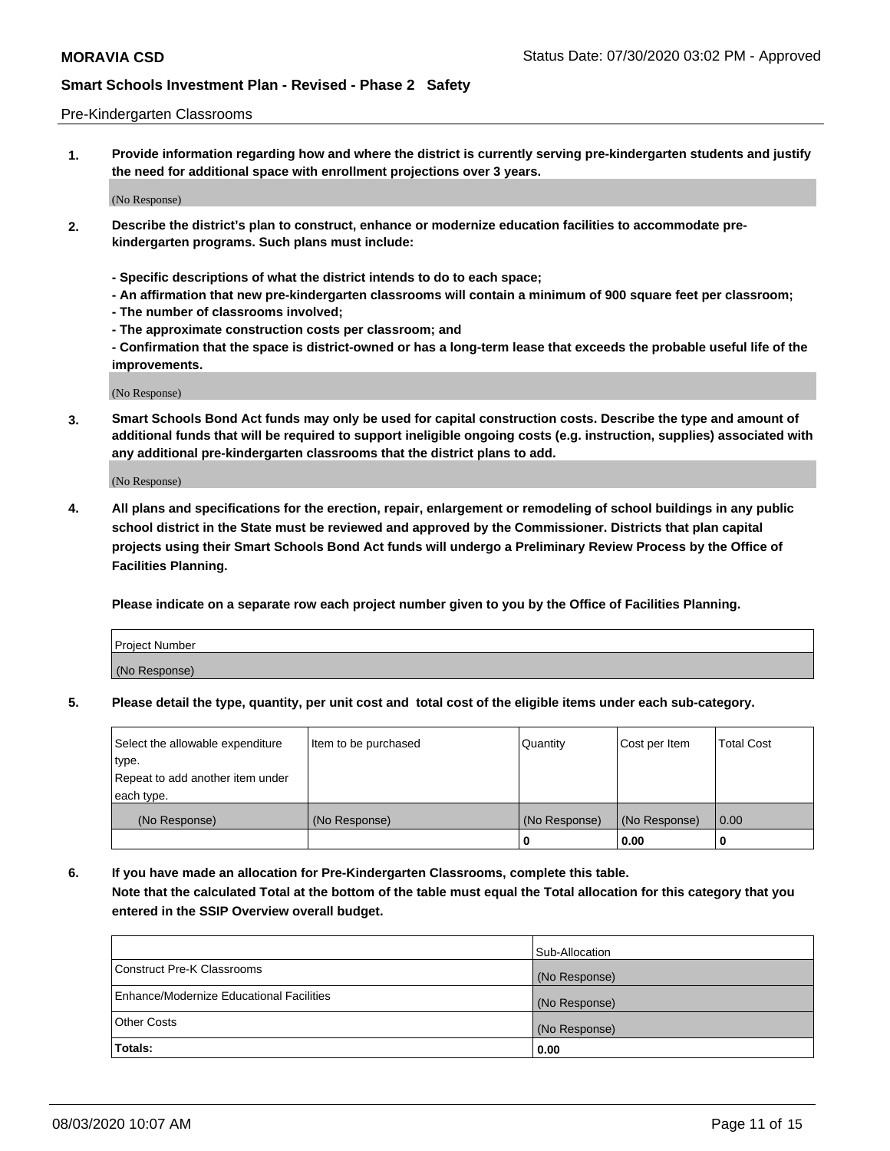#### Pre-Kindergarten Classrooms

**1. Provide information regarding how and where the district is currently serving pre-kindergarten students and justify the need for additional space with enrollment projections over 3 years.**

(No Response)

- **2. Describe the district's plan to construct, enhance or modernize education facilities to accommodate prekindergarten programs. Such plans must include:**
	- **Specific descriptions of what the district intends to do to each space;**
	- **An affirmation that new pre-kindergarten classrooms will contain a minimum of 900 square feet per classroom;**
	- **The number of classrooms involved;**
	- **The approximate construction costs per classroom; and**
	- **Confirmation that the space is district-owned or has a long-term lease that exceeds the probable useful life of the improvements.**

(No Response)

**3. Smart Schools Bond Act funds may only be used for capital construction costs. Describe the type and amount of additional funds that will be required to support ineligible ongoing costs (e.g. instruction, supplies) associated with any additional pre-kindergarten classrooms that the district plans to add.**

(No Response)

**4. All plans and specifications for the erection, repair, enlargement or remodeling of school buildings in any public school district in the State must be reviewed and approved by the Commissioner. Districts that plan capital projects using their Smart Schools Bond Act funds will undergo a Preliminary Review Process by the Office of Facilities Planning.**

**Please indicate on a separate row each project number given to you by the Office of Facilities Planning.**

| Project Number |  |
|----------------|--|
| (No Response)  |  |
|                |  |

**5. Please detail the type, quantity, per unit cost and total cost of the eligible items under each sub-category.**

| Select the allowable expenditure | Item to be purchased | Quantity      | Cost per Item | <b>Total Cost</b> |
|----------------------------------|----------------------|---------------|---------------|-------------------|
| type.                            |                      |               |               |                   |
| Repeat to add another item under |                      |               |               |                   |
| each type.                       |                      |               |               |                   |
| (No Response)                    | (No Response)        | (No Response) | (No Response) | 0.00              |
|                                  |                      | U             | 0.00          |                   |

**6. If you have made an allocation for Pre-Kindergarten Classrooms, complete this table. Note that the calculated Total at the bottom of the table must equal the Total allocation for this category that you entered in the SSIP Overview overall budget.**

|                                          | Sub-Allocation |
|------------------------------------------|----------------|
| Construct Pre-K Classrooms               | (No Response)  |
| Enhance/Modernize Educational Facilities | (No Response)  |
| <b>Other Costs</b>                       | (No Response)  |
| Totals:                                  | 0.00           |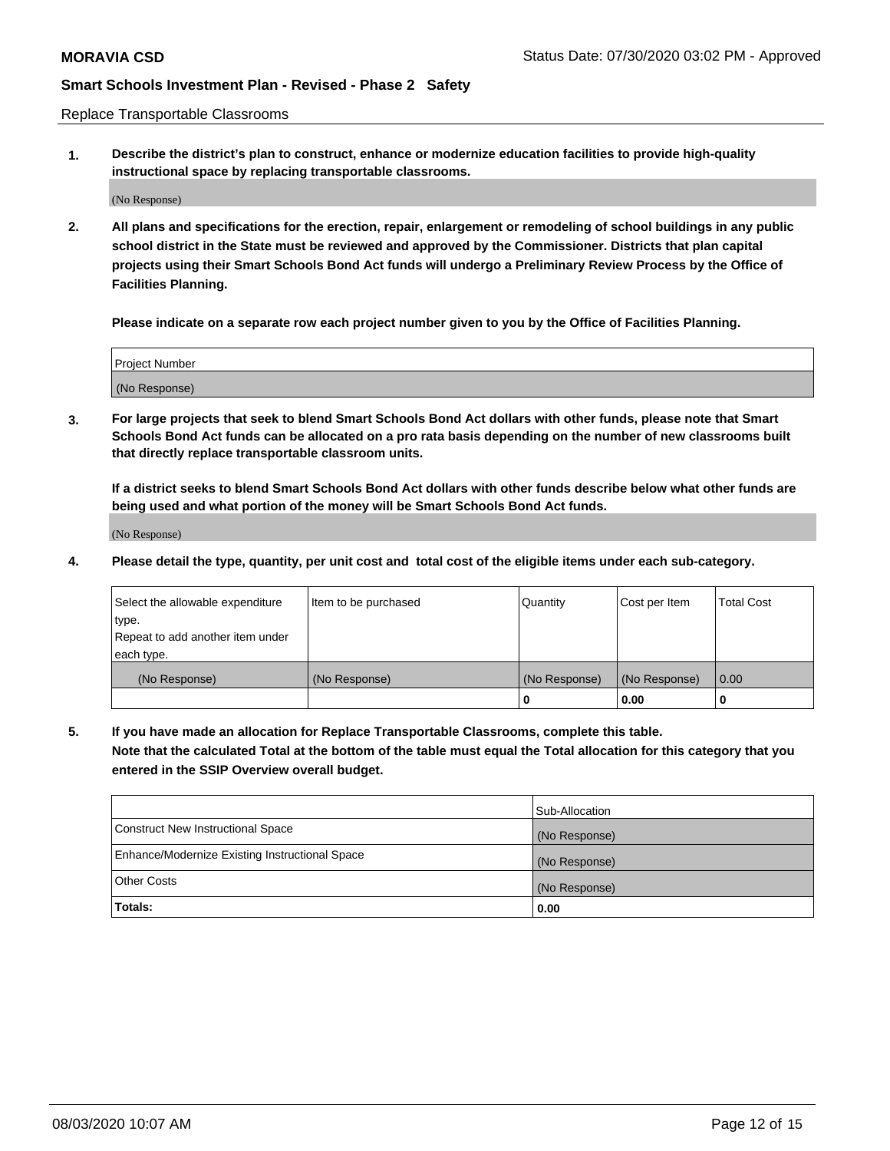Replace Transportable Classrooms

**1. Describe the district's plan to construct, enhance or modernize education facilities to provide high-quality instructional space by replacing transportable classrooms.**

(No Response)

**2. All plans and specifications for the erection, repair, enlargement or remodeling of school buildings in any public school district in the State must be reviewed and approved by the Commissioner. Districts that plan capital projects using their Smart Schools Bond Act funds will undergo a Preliminary Review Process by the Office of Facilities Planning.**

**Please indicate on a separate row each project number given to you by the Office of Facilities Planning.**

| Project Number |  |
|----------------|--|
|                |  |
|                |  |
|                |  |
|                |  |
| (No Response)  |  |
|                |  |
|                |  |
|                |  |

**3. For large projects that seek to blend Smart Schools Bond Act dollars with other funds, please note that Smart Schools Bond Act funds can be allocated on a pro rata basis depending on the number of new classrooms built that directly replace transportable classroom units.**

**If a district seeks to blend Smart Schools Bond Act dollars with other funds describe below what other funds are being used and what portion of the money will be Smart Schools Bond Act funds.**

(No Response)

**4. Please detail the type, quantity, per unit cost and total cost of the eligible items under each sub-category.**

| Select the allowable expenditure | Item to be purchased | Quantity      | Cost per Item | Total Cost |
|----------------------------------|----------------------|---------------|---------------|------------|
| ∣type.                           |                      |               |               |            |
| Repeat to add another item under |                      |               |               |            |
| each type.                       |                      |               |               |            |
| (No Response)                    | (No Response)        | (No Response) | (No Response) | 0.00       |
|                                  |                      | u             | 0.00          |            |

**5. If you have made an allocation for Replace Transportable Classrooms, complete this table. Note that the calculated Total at the bottom of the table must equal the Total allocation for this category that you entered in the SSIP Overview overall budget.**

|                                                | Sub-Allocation |
|------------------------------------------------|----------------|
| Construct New Instructional Space              | (No Response)  |
| Enhance/Modernize Existing Instructional Space | (No Response)  |
| Other Costs                                    | (No Response)  |
| Totals:                                        | 0.00           |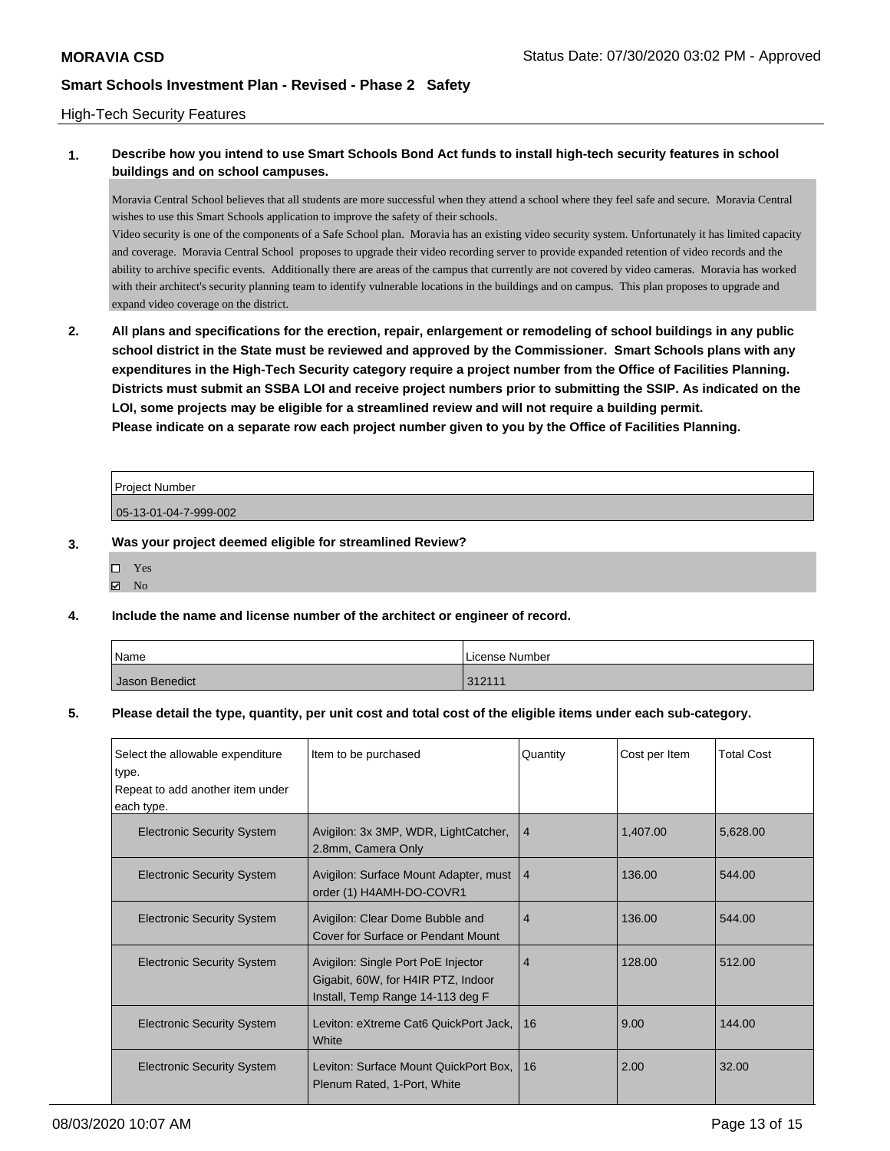### High-Tech Security Features

### **1. Describe how you intend to use Smart Schools Bond Act funds to install high-tech security features in school buildings and on school campuses.**

Moravia Central School believes that all students are more successful when they attend a school where they feel safe and secure. Moravia Central wishes to use this Smart Schools application to improve the safety of their schools.

Video security is one of the components of a Safe School plan. Moravia has an existing video security system. Unfortunately it has limited capacity and coverage. Moravia Central School proposes to upgrade their video recording server to provide expanded retention of video records and the ability to archive specific events. Additionally there are areas of the campus that currently are not covered by video cameras. Moravia has worked with their architect's security planning team to identify vulnerable locations in the buildings and on campus. This plan proposes to upgrade and expand video coverage on the district.

**2. All plans and specifications for the erection, repair, enlargement or remodeling of school buildings in any public school district in the State must be reviewed and approved by the Commissioner. Smart Schools plans with any expenditures in the High-Tech Security category require a project number from the Office of Facilities Planning. Districts must submit an SSBA LOI and receive project numbers prior to submitting the SSIP. As indicated on the LOI, some projects may be eligible for a streamlined review and will not require a building permit. Please indicate on a separate row each project number given to you by the Office of Facilities Planning.**

| Proiect Number        |  |
|-----------------------|--|
| 05-13-01-04-7-999-002 |  |

#### **3. Was your project deemed eligible for streamlined Review?**

| H | Yes |
|---|-----|
| ∢ | No  |

### **4. Include the name and license number of the architect or engineer of record.**

| Name           | License Number |
|----------------|----------------|
| Jason Benedict | 312111         |

#### **5. Please detail the type, quantity, per unit cost and total cost of the eligible items under each sub-category.**

| Select the allowable expenditure<br>type. | Item to be purchased                                                                                         | Quantity       | Cost per Item | <b>Total Cost</b> |
|-------------------------------------------|--------------------------------------------------------------------------------------------------------------|----------------|---------------|-------------------|
| Repeat to add another item under          |                                                                                                              |                |               |                   |
| each type.                                |                                                                                                              |                |               |                   |
| <b>Electronic Security System</b>         | Avigilon: 3x 3MP, WDR, LightCatcher,<br>2.8mm, Camera Only                                                   | 4              | 1,407.00      | 5,628.00          |
| <b>Electronic Security System</b>         | Avigilon: Surface Mount Adapter, must<br>order (1) H4AMH-DO-COVR1                                            | $\overline{4}$ | 136.00        | 544.00            |
| <b>Electronic Security System</b>         | Avigilon: Clear Dome Bubble and<br>Cover for Surface or Pendant Mount                                        | $\overline{4}$ | 136.00        | 544.00            |
| <b>Electronic Security System</b>         | Avigilon: Single Port PoE Injector<br>Gigabit, 60W, for H4IR PTZ, Indoor<br>Install, Temp Range 14-113 deg F | $\overline{4}$ | 128.00        | 512.00            |
| <b>Electronic Security System</b>         | Leviton: eXtreme Cat6 QuickPort Jack,<br>White                                                               | 16             | 9.00          | 144.00            |
| <b>Electronic Security System</b>         | Leviton: Surface Mount QuickPort Box,<br>Plenum Rated, 1-Port, White                                         | 16             | 2.00          | 32.00             |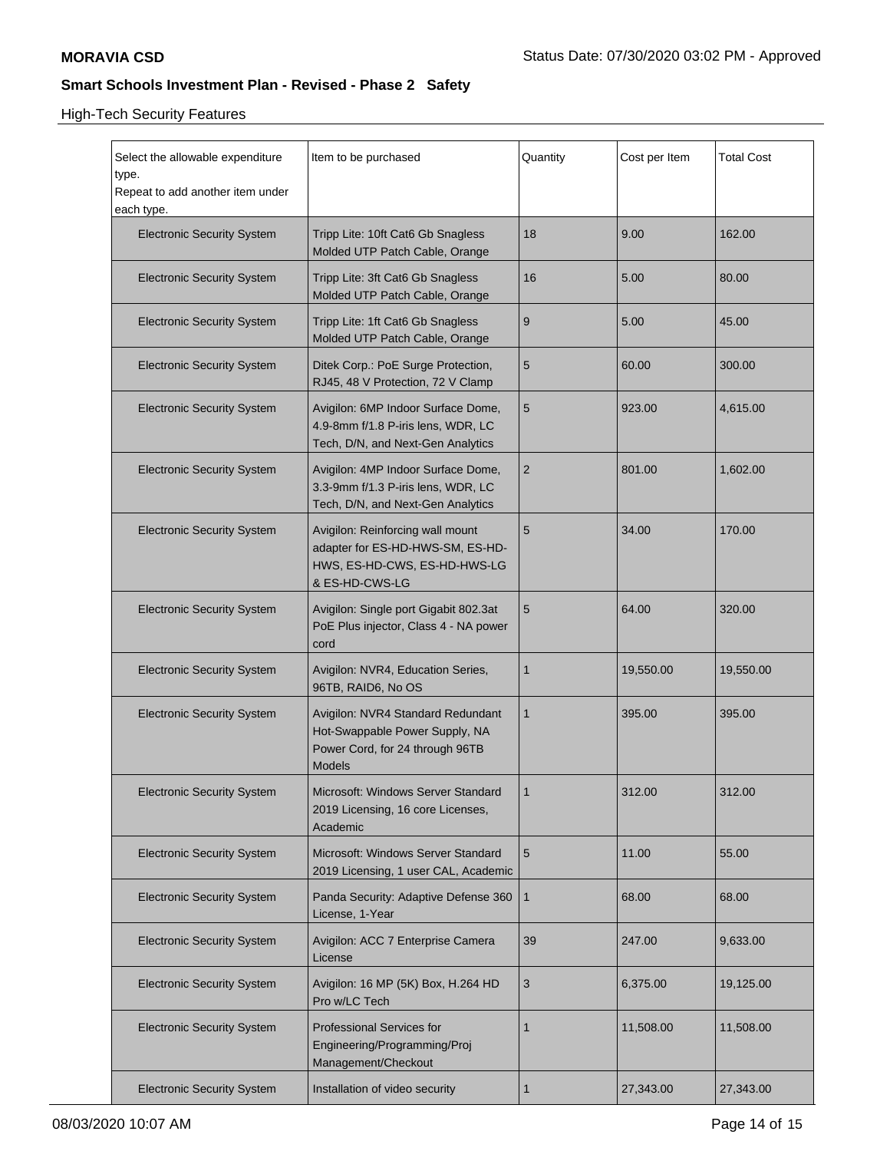# High-Tech Security Features

| Select the allowable expenditure<br>type.      | Item to be purchased                                                                                                    | Quantity       | Cost per Item | <b>Total Cost</b> |
|------------------------------------------------|-------------------------------------------------------------------------------------------------------------------------|----------------|---------------|-------------------|
| Repeat to add another item under<br>each type. |                                                                                                                         |                |               |                   |
| <b>Electronic Security System</b>              | Tripp Lite: 10ft Cat6 Gb Snagless<br>Molded UTP Patch Cable, Orange                                                     | 18             | 9.00          | 162.00            |
| <b>Electronic Security System</b>              | Tripp Lite: 3ft Cat6 Gb Snagless<br>Molded UTP Patch Cable, Orange                                                      | 16             | 5.00          | 80.00             |
| <b>Electronic Security System</b>              | Tripp Lite: 1ft Cat6 Gb Snagless<br>Molded UTP Patch Cable, Orange                                                      | 9              | 5.00          | 45.00             |
| <b>Electronic Security System</b>              | Ditek Corp.: PoE Surge Protection,<br>RJ45, 48 V Protection, 72 V Clamp                                                 | $5\,$          | 60.00         | 300.00            |
| <b>Electronic Security System</b>              | Avigilon: 6MP Indoor Surface Dome,<br>4.9-8mm f/1.8 P-iris lens, WDR, LC<br>Tech, D/N, and Next-Gen Analytics           | 5              | 923.00        | 4,615.00          |
| <b>Electronic Security System</b>              | Avigilon: 4MP Indoor Surface Dome,<br>3.3-9mm f/1.3 P-iris lens, WDR, LC<br>Tech, D/N, and Next-Gen Analytics           | $\overline{2}$ | 801.00        | 1,602.00          |
| <b>Electronic Security System</b>              | Avigilon: Reinforcing wall mount<br>adapter for ES-HD-HWS-SM, ES-HD-<br>HWS, ES-HD-CWS, ES-HD-HWS-LG<br>& ES-HD-CWS-LG  | 5              | 34.00         | 170.00            |
| <b>Electronic Security System</b>              | Avigilon: Single port Gigabit 802.3at<br>PoE Plus injector, Class 4 - NA power<br>cord                                  | 5              | 64.00         | 320.00            |
| <b>Electronic Security System</b>              | Avigilon: NVR4, Education Series,<br>96TB, RAID6, No OS                                                                 | $\mathbf{1}$   | 19,550.00     | 19,550.00         |
| <b>Electronic Security System</b>              | Avigilon: NVR4 Standard Redundant<br>Hot-Swappable Power Supply, NA<br>Power Cord, for 24 through 96TB<br><b>Models</b> | $\mathbf{1}$   | 395.00        | 395.00            |
| <b>Electronic Security System</b>              | Microsoft: Windows Server Standard<br>2019 Licensing, 16 core Licenses,<br>Academic                                     |                | 312.00        | 312.00            |
| <b>Electronic Security System</b>              | Microsoft: Windows Server Standard<br>2019 Licensing, 1 user CAL, Academic                                              | 5              | 11.00         | 55.00             |
| <b>Electronic Security System</b>              | Panda Security: Adaptive Defense 360<br>License, 1-Year                                                                 | $\mathbf{1}$   | 68.00         | 68.00             |
| <b>Electronic Security System</b>              | Avigilon: ACC 7 Enterprise Camera<br>License                                                                            | 39             | 247.00        | 9,633.00          |
| <b>Electronic Security System</b>              | Avigilon: 16 MP (5K) Box, H.264 HD<br>Pro w/LC Tech                                                                     | 3              | 6,375.00      | 19,125.00         |
| <b>Electronic Security System</b>              | <b>Professional Services for</b><br>Engineering/Programming/Proj<br>Management/Checkout                                 | $\mathbf{1}$   | 11,508.00     | 11,508.00         |
| <b>Electronic Security System</b>              | Installation of video security                                                                                          | $\mathbf{1}$   | 27,343.00     | 27,343.00         |